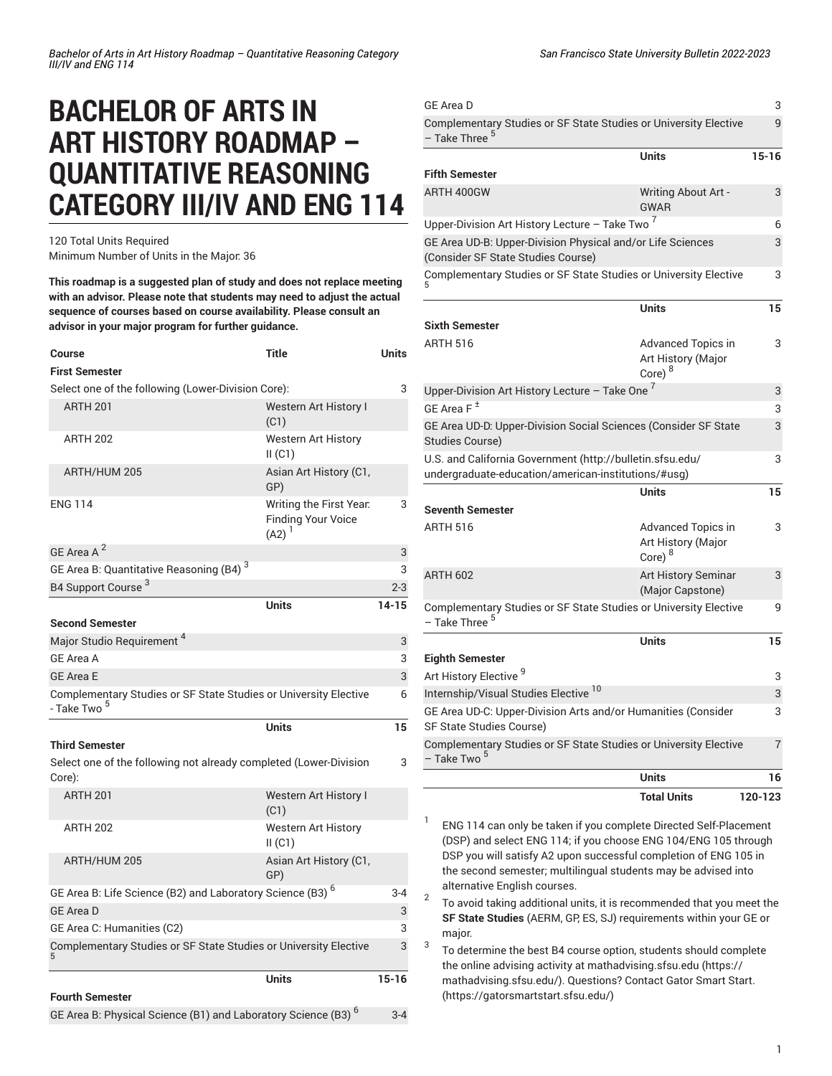# **BACHELOR OF ARTS IN ART HISTORY ROADMAP – QUANTITATIVE REASONING CATEGORY III/IV AND ENG 114**

120 Total Units Required Minimum Number of Units in the Major: 36

**This roadmap is a suggested plan of study and does not replace meeting with an advisor. Please note that students may need to adjust the actual sequence of courses based on course availability. Please consult an advisor in your major program for further guidance.**

| Course                                                                                      | Title                                                              | Units     |
|---------------------------------------------------------------------------------------------|--------------------------------------------------------------------|-----------|
| <b>First Semester</b>                                                                       |                                                                    |           |
| Select one of the following (Lower-Division Core):                                          |                                                                    | 3         |
| <b>ARTH 201</b>                                                                             | <b>Western Art History I</b><br>(C1)                               |           |
| <b>ARTH 202</b>                                                                             | <b>Western Art History</b><br>II(C1)                               |           |
| ARTH/HUM 205                                                                                | Asian Art History (C1,<br>GP)                                      |           |
| <b>ENG 114</b>                                                                              | Writing the First Year.<br><b>Finding Your Voice</b><br>$(A2)^{1}$ | 3         |
| GE Area A <sup>2</sup>                                                                      |                                                                    | 3         |
| GE Area B: Quantitative Reasoning (B4) <sup>3</sup>                                         |                                                                    | 3         |
| B4 Support Course <sup>3</sup>                                                              |                                                                    | $2 - 3$   |
|                                                                                             | <b>Units</b>                                                       | $14 - 15$ |
| <b>Second Semester</b>                                                                      |                                                                    |           |
| Major Studio Requirement <sup>4</sup>                                                       |                                                                    | 3         |
| <b>GE Area A</b>                                                                            |                                                                    | 3         |
| <b>GE Area E</b>                                                                            |                                                                    | 3         |
| Complementary Studies or SF State Studies or University Elective<br>- Take Two <sup>5</sup> |                                                                    | 6         |
|                                                                                             | <b>Units</b>                                                       | 15        |
| <b>Third Semester</b>                                                                       |                                                                    |           |
| Select one of the following not already completed (Lower-Division<br>Core):                 |                                                                    | 3         |
| <b>ARTH 201</b>                                                                             | Western Art History I<br>(C1)                                      |           |
| <b>ARTH 202</b>                                                                             | Western Art History<br>II(C1)                                      |           |
| ARTH/HUM 205                                                                                | Asian Art History (C1,<br>GP)                                      |           |
| GE Area B: Life Science (B2) and Laboratory Science (B3) <sup>6</sup>                       |                                                                    | $3 - 4$   |
| <b>GE Area D</b>                                                                            |                                                                    | 3         |
| GE Area C: Humanities (C2)                                                                  |                                                                    | 3         |
| Complementary Studies or SF State Studies or University Elective                            |                                                                    | 3         |
|                                                                                             | <b>Units</b>                                                       | $15 - 16$ |
| <b>Fourth Semester</b>                                                                      |                                                                    |           |
| GE Area B: Physical Science (B1) and Laboratory Science (B3) <sup>6</sup>                   |                                                                    |           |

| <b>GE Area D</b>                                                                                                 |                                                                       | 3         |
|------------------------------------------------------------------------------------------------------------------|-----------------------------------------------------------------------|-----------|
| Complementary Studies or SF State Studies or University Elective<br>Take Three <sup>5</sup>                      |                                                                       | 9         |
|                                                                                                                  | <b>Units</b>                                                          | $15 - 16$ |
| <b>Fifth Semester</b>                                                                                            |                                                                       |           |
| ARTH 400GW                                                                                                       | <b>Writing About Art -</b><br><b>GWAR</b>                             | 3         |
| Upper-Division Art History Lecture - Take Two $^7$                                                               |                                                                       | 6         |
| GE Area UD-B: Upper-Division Physical and/or Life Sciences<br>(Consider SF State Studies Course)                 |                                                                       | 3         |
| Complementary Studies or SF State Studies or University Elective                                                 |                                                                       | 3         |
|                                                                                                                  | <b>Units</b>                                                          | 15        |
| <b>Sixth Semester</b>                                                                                            |                                                                       |           |
| <b>ARTH 516</b>                                                                                                  | <b>Advanced Topics in</b><br>Art History (Major<br>Core) <sup>8</sup> | 3         |
| Upper-Division Art History Lecture - Take One <sup>7</sup>                                                       |                                                                       | 3         |
| GE Area $F^{\pm}$                                                                                                |                                                                       | 3         |
| GE Area UD-D: Upper-Division Social Sciences (Consider SF State<br><b>Studies Course)</b>                        |                                                                       | 3         |
| U.S. and California Government (http://bulletin.sfsu.edu/<br>undergraduate-education/american-institutions/#usg) |                                                                       | 3         |
|                                                                                                                  | <b>Units</b>                                                          | 15        |
| <b>Seventh Semester</b>                                                                                          |                                                                       |           |
| <b>ARTH 516</b>                                                                                                  | Advanced Topics in<br>Art History (Major<br>Core) <sup>8</sup>        | 3         |
| <b>ARTH 602</b>                                                                                                  | <b>Art History Seminar</b><br>(Major Capstone)                        | 3         |
| Complementary Studies or SF State Studies or University Elective<br>- Take Three <sup>5</sup>                    |                                                                       | 9         |
|                                                                                                                  | <b>Units</b>                                                          | 15        |
| <b>Eighth Semester</b>                                                                                           |                                                                       |           |
| Art History Elective <sup>9</sup>                                                                                |                                                                       | 3         |
| Internship/Visual Studies Elective <sup>10</sup>                                                                 |                                                                       | 3         |
| GE Area UD-C: Upper-Division Arts and/or Humanities (Consider<br>SF State Studies Course)                        |                                                                       | 3         |
| Complementary Studies or SF State Studies or University Elective<br>- Take Two <sup>5</sup>                      |                                                                       | 7         |
|                                                                                                                  | <b>Units</b>                                                          | 16        |
|                                                                                                                  | <b>Total Units</b>                                                    | 120-123   |

1 ENG 114 can only be taken if you complete Directed Self-Placement (DSP) and select ENG 114; if you choose ENG 104/ENG 105 through DSP you will satisfy A2 upon successful completion of ENG 105 in the second semester; multilingual students may be advised into alternative English courses.

2 To avoid taking additional units, it is recommended that you meet the **SF State Studies** (AERM, GP, ES, SJ) requirements within your GE or major.

3 To determine the best B4 course option, students should complete the online advising activity at [mathadvising.sfsu.edu \(https://](https://mathadvising.sfsu.edu/) [mathadvising.sfsu.edu/](https://mathadvising.sfsu.edu/)). Questions? Contact Gator [Smart](https://gatorsmartstart.sfsu.edu/) Start. [\(https://gatorsmartstart.sfsu.edu/](https://gatorsmartstart.sfsu.edu/))